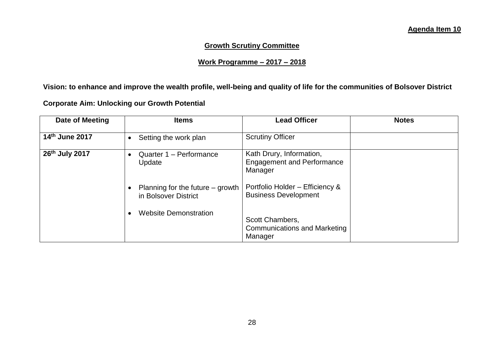## **Growth Scrutiny Committee**

## **Work Programme – 2017 – 2018**

**Vision: to enhance and improve the wealth profile, well-being and quality of life for the communities of Bolsover District** 

**Corporate Aim: Unlocking our Growth Potential**

| Date of Meeting | <b>Items</b>                                               | <b>Lead Officer</b>                                                      | <b>Notes</b> |
|-----------------|------------------------------------------------------------|--------------------------------------------------------------------------|--------------|
| 14th June 2017  | Setting the work plan                                      | <b>Scrutiny Officer</b>                                                  |              |
| 26th July 2017  | Quarter 1 - Performance<br>Update                          | Kath Drury, Information,<br><b>Engagement and Performance</b><br>Manager |              |
|                 | Planning for the future $-$ growth<br>in Bolsover District | Portfolio Holder - Efficiency &<br><b>Business Development</b>           |              |
|                 | <b>Website Demonstration</b>                               | Scott Chambers,<br><b>Communications and Marketing</b><br>Manager        |              |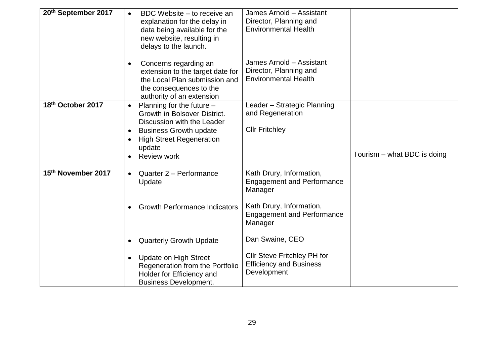| 20th September 2017 | BDC Website – to receive an<br>$\bullet$<br>explanation for the delay in<br>data being available for the<br>new website, resulting in<br>delays to the launch.                                                          | James Arnold - Assistant<br>Director, Planning and<br><b>Environmental Health</b>                                                                    |                               |
|---------------------|-------------------------------------------------------------------------------------------------------------------------------------------------------------------------------------------------------------------------|------------------------------------------------------------------------------------------------------------------------------------------------------|-------------------------------|
|                     | Concerns regarding an<br>$\bullet$<br>extension to the target date for<br>the Local Plan submission and<br>the consequences to the<br>authority of an extension                                                         | James Arnold - Assistant<br>Director, Planning and<br><b>Environmental Health</b>                                                                    |                               |
| 18th October 2017   | Planning for the future $-$<br>$\bullet$<br>Growth in Bolsover District.<br>Discussion with the Leader<br><b>Business Growth update</b><br>$\bullet$<br><b>High Street Regeneration</b><br>update<br><b>Review work</b> | Leader - Strategic Planning<br>and Regeneration<br><b>Cllr Fritchley</b>                                                                             | Tourism $-$ what BDC is doing |
| 15th November 2017  | Quarter 2 - Performance<br>$\bullet$<br>Update<br><b>Growth Performance Indicators</b>                                                                                                                                  | Kath Drury, Information,<br><b>Engagement and Performance</b><br>Manager<br>Kath Drury, Information,<br><b>Engagement and Performance</b><br>Manager |                               |
|                     | <b>Quarterly Growth Update</b><br>$\bullet$<br><b>Update on High Street</b><br>$\bullet$<br>Regeneration from the Portfolio<br>Holder for Efficiency and<br><b>Business Development.</b>                                | Dan Swaine, CEO<br>Cllr Steve Fritchley PH for<br><b>Efficiency and Business</b><br>Development                                                      |                               |